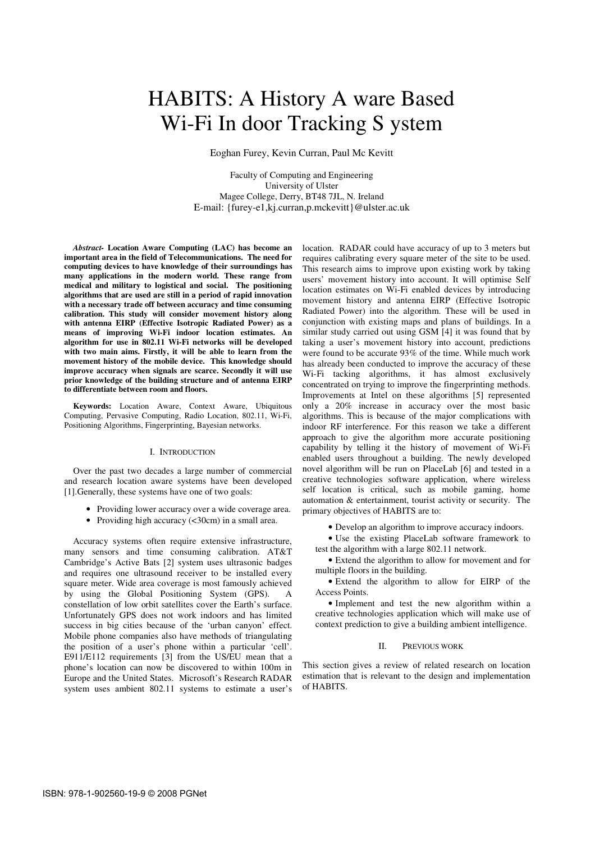# HABITS: A History A ware Based Wi-Fi In door Tracking S ystem

Eoghan Furey, Kevin Curran, Paul Mc Kevitt

Faculty of Computing and Engineering University of Ulster Magee College, Derry, BT48 7JL, N. Ireland E-mail: {furey-e1,kj.curran,p.mckevitt}@ulster.ac.uk

*Abstract-* **Location Aware Computing (LAC) has become an important area in the field of Telecommunications. The need for computing devices to have knowledge of their surroundings has many applications in the modern world. These range from medical and military to logistical and social. The positioning algorithms that are used are still in a period of rapid innovation with a necessary trade off between accuracy and time consuming calibration. This study will consider movement history along with antenna EIRP (Effective Isotropic Radiated Power) as a means of improving Wi-Fi indoor location estimates. An algorithm for use in 802.11 Wi-Fi networks will be developed with two main aims. Firstly, it will be able to learn from the movement history of the mobile device. This knowledge should improve accuracy when signals are scarce. Secondly it will use prior knowledge of the building structure and of antenna EIRP to differentiate between room and floors.** 

**Keywords:** Location Aware, Context Aware, Ubiquitous Computing, Pervasive Computing, Radio Location, 802.11, Wi-Fi, Positioning Algorithms, Fingerprinting, Bayesian networks.

## I. INTRODUCTION

Over the past two decades a large number of commercial and research location aware systems have been developed [1].Generally, these systems have one of two goals:

- Providing lower accuracy over a wide coverage area.
- Providing high accuracy (<30cm) in a small area.

Accuracy systems often require extensive infrastructure, many sensors and time consuming calibration. AT&T Cambridge's Active Bats [2] system uses ultrasonic badges and requires one ultrasound receiver to be installed every square meter. Wide area coverage is most famously achieved by using the Global Positioning System (GPS). A constellation of low orbit satellites cover the Earth's surface. Unfortunately GPS does not work indoors and has limited success in big cities because of the 'urban canyon' effect. Mobile phone companies also have methods of triangulating the position of a user's phone within a particular 'cell'. E911/E112 requirements [3] from the US/EU mean that a phone's location can now be discovered to within 100m in Europe and the United States. Microsoft's Research RADAR system uses ambient 802.11 systems to estimate a user's location. RADAR could have accuracy of up to 3 meters but requires calibrating every square meter of the site to be used. This research aims to improve upon existing work by taking users' movement history into account. It will optimise Self location estimates on Wi-Fi enabled devices by introducing movement history and antenna EIRP (Effective Isotropic Radiated Power) into the algorithm. These will be used in conjunction with existing maps and plans of buildings. In a similar study carried out using GSM [4] it was found that by taking a user's movement history into account, predictions were found to be accurate 93% of the time. While much work has already been conducted to improve the accuracy of these Wi-Fi tacking algorithms, it has almost exclusively concentrated on trying to improve the fingerprinting methods. Improvements at Intel on these algorithms [5] represented only a 20% increase in accuracy over the most basic algorithms. This is because of the major complications with indoor RF interference. For this reason we take a different approach to give the algorithm more accurate positioning capability by telling it the history of movement of Wi-Fi enabled users throughout a building. The newly developed novel algorithm will be run on PlaceLab [6] and tested in a creative technologies software application, where wireless self location is critical, such as mobile gaming, home automation & entertainment, tourist activity or security. The primary objectives of HABITS are to:

• Develop an algorithm to improve accuracy indoors.

• Use the existing PlaceLab software framework to test the algorithm with a large 802.11 network.

• Extend the algorithm to allow for movement and for multiple floors in the building.

• Extend the algorithm to allow for EIRP of the Access Points.

• Implement and test the new algorithm within a creative technologies application which will make use of context prediction to give a building ambient intelligence.

# II. PREVIOUS WORK

This section gives a review of related research on location estimation that is relevant to the design and implementation of HABITS.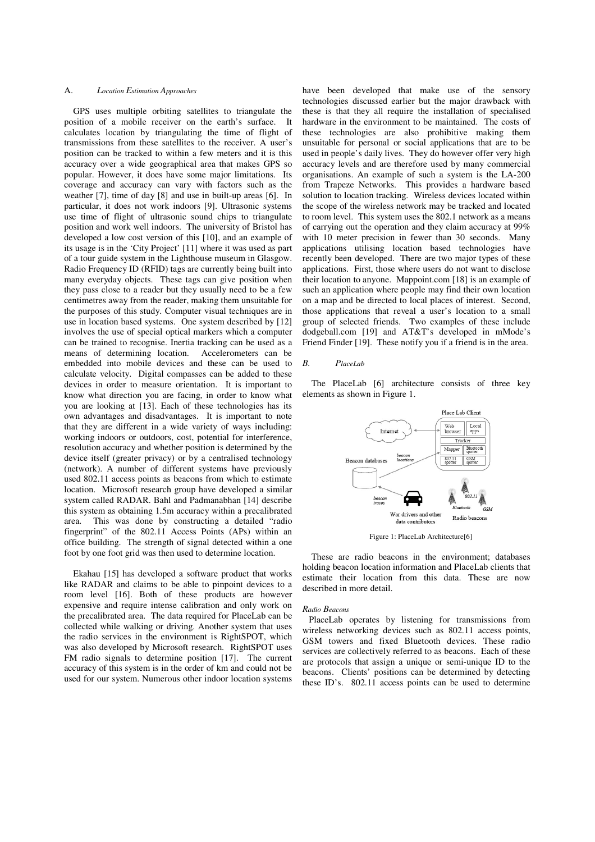## A. *Location Estimation Approaches*

GPS uses multiple orbiting satellites to triangulate the position of a mobile receiver on the earth's surface. It calculates location by triangulating the time of flight of transmissions from these satellites to the receiver. A user's position can be tracked to within a few meters and it is this accuracy over a wide geographical area that makes GPS so popular. However, it does have some major limitations. Its coverage and accuracy can vary with factors such as the weather [7], time of day [8] and use in built-up areas [6]. In particular, it does not work indoors [9]. Ultrasonic systems use time of flight of ultrasonic sound chips to triangulate position and work well indoors. The university of Bristol has developed a low cost version of this [10], and an example of its usage is in the 'City Project' [11] where it was used as part of a tour guide system in the Lighthouse museum in Glasgow. Radio Frequency ID (RFID) tags are currently being built into many everyday objects. These tags can give position when they pass close to a reader but they usually need to be a few centimetres away from the reader, making them unsuitable for the purposes of this study. Computer visual techniques are in use in location based systems. One system described by [12] involves the use of special optical markers which a computer can be trained to recognise. Inertia tracking can be used as a means of determining location. Accelerometers can be embedded into mobile devices and these can be used to calculate velocity. Digital compasses can be added to these devices in order to measure orientation. It is important to know what direction you are facing, in order to know what you are looking at [13]. Each of these technologies has its own advantages and disadvantages. It is important to note that they are different in a wide variety of ways including: working indoors or outdoors, cost, potential for interference, resolution accuracy and whether position is determined by the device itself (greater privacy) or by a centralised technology (network). A number of different systems have previously used 802.11 access points as beacons from which to estimate location. Microsoft research group have developed a similar system called RADAR. Bahl and Padmanabhan [14] describe this system as obtaining 1.5m accuracy within a precalibrated area. This was done by constructing a detailed "radio fingerprint" of the 802.11 Access Points (APs) within an office building. The strength of signal detected within a one foot by one foot grid was then used to determine location.

Ekahau [15] has developed a software product that works like RADAR and claims to be able to pinpoint devices to a room level [16]. Both of these products are however expensive and require intense calibration and only work on the precalibrated area. The data required for PlaceLab can be collected while walking or driving. Another system that uses the radio services in the environment is RightSPOT, which was also developed by Microsoft research. RightSPOT uses FM radio signals to determine position [17]. The current accuracy of this system is in the order of km and could not be used for our system. Numerous other indoor location systems have been developed that make use of the sensory technologies discussed earlier but the major drawback with these is that they all require the installation of specialised hardware in the environment to be maintained. The costs of these technologies are also prohibitive making them unsuitable for personal or social applications that are to be used in people's daily lives. They do however offer very high accuracy levels and are therefore used by many commercial organisations. An example of such a system is the LA-200 from Trapeze Networks. This provides a hardware based solution to location tracking. Wireless devices located within the scope of the wireless network may be tracked and located to room level. This system uses the 802.1 network as a means of carrying out the operation and they claim accuracy at 99% with 10 meter precision in fewer than 30 seconds. Many applications utilising location based technologies have recently been developed. There are two major types of these applications. First, those where users do not want to disclose their location to anyone. Mappoint.com [18] is an example of such an application where people may find their own location on a map and be directed to local places of interest. Second, those applications that reveal a user's location to a small group of selected friends. Two examples of these include dodgeball.com [19] and AT&T's developed in mMode's Friend Finder [19]. These notify you if a friend is in the area.

#### *B. PlaceLab*

The PlaceLab [6] architecture consists of three key elements as shown in Figure 1.



Figure 1: PlaceLab Architecture[6]

These are radio beacons in the environment; databases holding beacon location information and PlaceLab clients that estimate their location from this data. These are now described in more detail.

## *Radio Beacons*

PlaceLab operates by listening for transmissions from wireless networking devices such as 802.11 access points, GSM towers and fixed Bluetooth devices. These radio services are collectively referred to as beacons. Each of these are protocols that assign a unique or semi-unique ID to the beacons. Clients' positions can be determined by detecting these ID's. 802.11 access points can be used to determine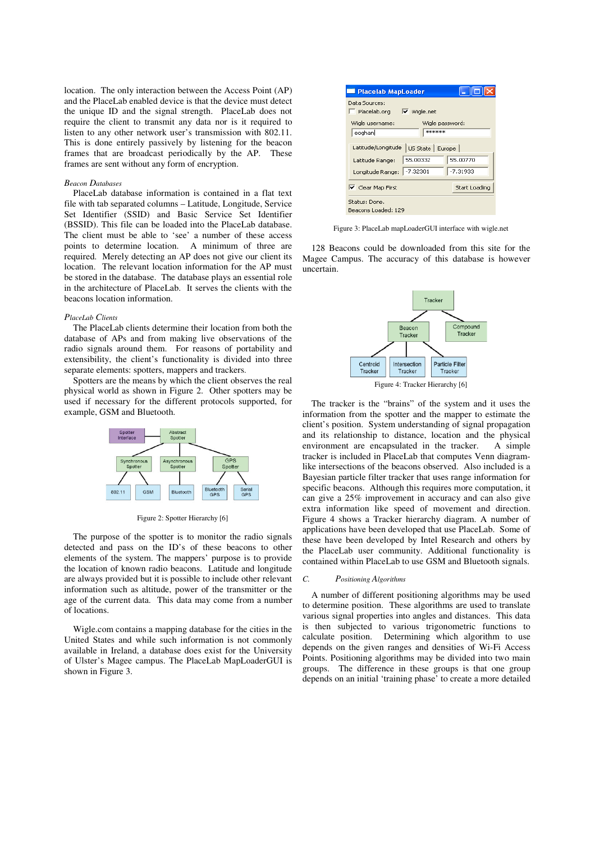location. The only interaction between the Access Point (AP) and the PlaceLab enabled device is that the device must detect the unique ID and the signal strength. PlaceLab does not require the client to transmit any data nor is it required to listen to any other network user's transmission with 802.11. This is done entirely passively by listening for the beacon frames that are broadcast periodically by the AP. These frames are sent without any form of encryption.

# *Beacon Databases*

PlaceLab database information is contained in a flat text file with tab separated columns – Latitude, Longitude, Service Set Identifier (SSID) and Basic Service Set Identifier (BSSID). This file can be loaded into the PlaceLab database. The client must be able to 'see' a number of these access points to determine location. A minimum of three are required. Merely detecting an AP does not give our client its location. The relevant location information for the AP must be stored in the database. The database plays an essential role in the architecture of PlaceLab. It serves the clients with the beacons location information.

## *PlaceLab Clients*

The PlaceLab clients determine their location from both the database of APs and from making live observations of the radio signals around them. For reasons of portability and extensibility, the client's functionality is divided into three separate elements: spotters, mappers and trackers.

Spotters are the means by which the client observes the real physical world as shown in Figure 2. Other spotters may be used if necessary for the different protocols supported, for example, GSM and Bluetooth.



Figure 2: Spotter Hierarchy [6]

The purpose of the spotter is to monitor the radio signals detected and pass on the ID's of these beacons to other elements of the system. The mappers' purpose is to provide the location of known radio beacons. Latitude and longitude are always provided but it is possible to include other relevant information such as altitude, power of the transmitter or the age of the current data. This data may come from a number of locations.

Wigle.com contains a mapping database for the cities in the United States and while such information is not commonly available in Ireland, a database does exist for the University of Ulster's Magee campus. The PlaceLab MapLoaderGUI is shown in Figure 3.



Figure 3: PlaceLab mapLoaderGUI interface with wigle.net

128 Beacons could be downloaded from this site for the Magee Campus. The accuracy of this database is however uncertain.



The tracker is the "brains" of the system and it uses the information from the spotter and the mapper to estimate the client's position. System understanding of signal propagation and its relationship to distance, location and the physical environment are encapsulated in the tracker. A simple tracker is included in PlaceLab that computes Venn diagramlike intersections of the beacons observed. Also included is a Bayesian particle filter tracker that uses range information for specific beacons. Although this requires more computation, it can give a 25% improvement in accuracy and can also give extra information like speed of movement and direction. Figure 4 shows a Tracker hierarchy diagram. A number of applications have been developed that use PlaceLab. Some of these have been developed by Intel Research and others by the PlaceLab user community. Additional functionality is contained within PlaceLab to use GSM and Bluetooth signals.

## *C. Positioning Algorithms*

A number of different positioning algorithms may be used to determine position. These algorithms are used to translate various signal properties into angles and distances. This data is then subjected to various trigonometric functions to calculate position. Determining which algorithm to use depends on the given ranges and densities of Wi-Fi Access Points. Positioning algorithms may be divided into two main groups. The difference in these groups is that one group depends on an initial 'training phase' to create a more detailed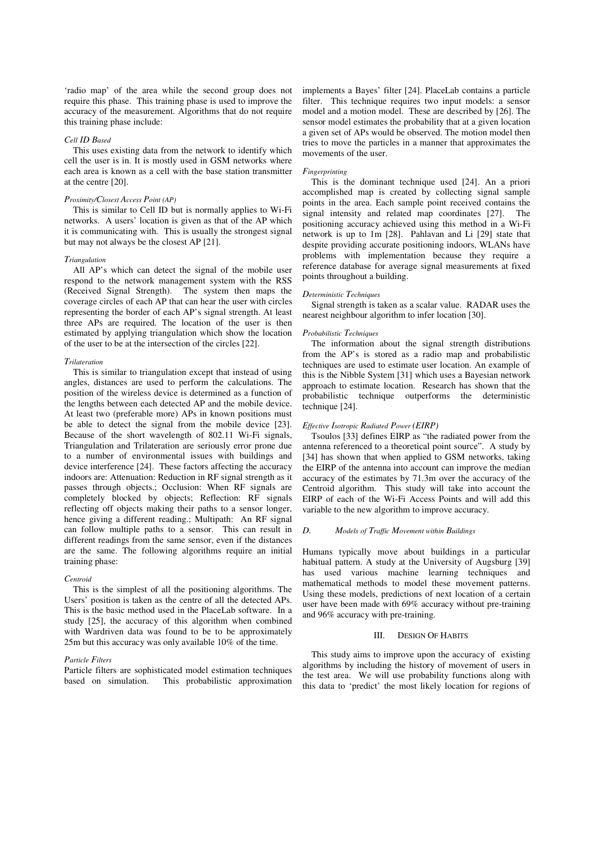'radio map' of the area while the second group does not require this phase. This training phase is used to improve the accuracy of the measurement. Algorithms that do not require this training phase include:

## *Cell ID Based*

This uses existing data from the network to identify which cell the user is in. It is mostly used in GSM networks where each area is known as a cell with the base station transmitter at the centre [20].

## *Proximity/Closest Access Point (AP)*

This is similar to Cell ID but is normally applies to Wi-Fi networks. A users' location is given as that of the AP which it is communicating with. This is usually the strongest signal but may not always be the closest AP [21].

## *Triangulation*

All AP's which can detect the signal of the mobile user respond to the network management system with the RSS (Received Signal Strength). The system then maps the coverage circles of each AP that can hear the user with circles representing the border of each AP's signal strength. At least three APs are required. The location of the user is then estimated by applying triangulation which show the location of the user to be at the intersection of the circles [22].

#### *Trilateration*

This is similar to triangulation except that instead of using angles, distances are used to perform the calculations. The position of the wireless device is determined as a function of the lengths between each detected AP and the mobile device. At least two (preferable more) APs in known positions must be able to detect the signal from the mobile device [23]. Because of the short wavelength of 802.11 Wi-Fi signals, Triangulation and Trilateration are seriously error prone due to a number of environmental issues with buildings and device interference [24]. These factors affecting the accuracy indoors are: Attenuation: Reduction in RF signal strength as it passes through objects.; Occlusion: When RF signals are completely blocked by objects; Reflection: RF signals reflecting off objects making their paths to a sensor longer, hence giving a different reading.; Multipath: An RF signal can follow multiple paths to a sensor. This can result in different readings from the same sensor, even if the distances are the same. The following algorithms require an initial training phase:

#### *Centroid*

This is the simplest of all the positioning algorithms. The Users' position is taken as the centre of all the detected APs. This is the basic method used in the PlaceLab software. In a study [25], the accuracy of this algorithm when combined with Wardriven data was found to be to be approximately 25m but this accuracy was only available 10% of the time.

#### *Particle Filters*

Particle filters are sophisticated model estimation techniques based on simulation. This probabilistic approximation implements a Bayes' filter [24]. PlaceLab contains a particle filter. This technique requires two input models: a sensor model and a motion model. These are described by [26]. The sensor model estimates the probability that at a given location a given set of APs would be observed. The motion model then tries to move the particles in a manner that approximates the movements of the user.

## *Fingerprinting*

This is the dominant technique used [24]. An a priori accomplished map is created by collecting signal sample points in the area. Each sample point received contains the signal intensity and related map coordinates [27]. The positioning accuracy achieved using this method in a Wi-Fi network is up to 1m [28]. Pahlavan and Li [29] state that despite providing accurate positioning indoors, WLANs have problems with implementation because they require a reference database for average signal measurements at fixed points throughout a building.

# *Deterministic Techniques*

Signal strength is taken as a scalar value. RADAR uses the nearest neighbour algorithm to infer location [30].

#### *Probabilistic Techniques*

The information about the signal strength distributions from the AP's is stored as a radio map and probabilistic techniques are used to estimate user location. An example of this is the Nibble System [31] which uses a Bayesian network approach to estimate location. Research has shown that the probabilistic technique outperforms the deterministic technique [24].

### *Effective Isotropic Radiated Power (EIRP)*

Tsoulos [33] defines EIRP as "the radiated power from the antenna referenced to a theoretical point source". A study by [34] has shown that when applied to GSM networks, taking the EIRP of the antenna into account can improve the median accuracy of the estimates by 71.3m over the accuracy of the Centroid algorithm. This study will take into account the EIRP of each of the Wi-Fi Access Points and will add this variable to the new algorithm to improve accuracy.

# *D. Models of Traffic Movement within Buildings*

Humans typically move about buildings in a particular habitual pattern. A study at the University of Augsburg [39] has used various machine learning techniques and mathematical methods to model these movement patterns. Using these models, predictions of next location of a certain user have been made with 69% accuracy without pre-training and 96% accuracy with pre-training.

## III. DESIGN OF HABITS

This study aims to improve upon the accuracy of existing algorithms by including the history of movement of users in the test area. We will use probability functions along with this data to 'predict' the most likely location for regions of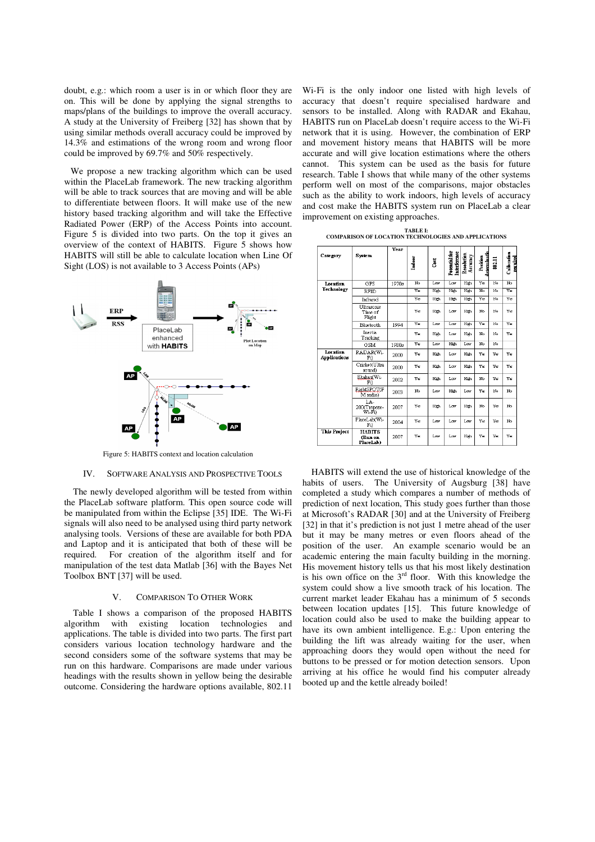doubt, e.g.: which room a user is in or which floor they are on. This will be done by applying the signal strengths to maps/plans of the buildings to improve the overall accuracy. A study at the University of Freiberg [32] has shown that by using similar methods overall accuracy could be improved by 14.3% and estimations of the wrong room and wrong floor could be improved by 69.7% and 50% respectively.

 We propose a new tracking algorithm which can be used within the PlaceLab framework. The new tracking algorithm will be able to track sources that are moving and will be able to differentiate between floors. It will make use of the new history based tracking algorithm and will take the Effective Radiated Power (ERP) of the Access Points into account. Figure 5 is divided into two parts. On the top it gives an overview of the context of HABITS. Figure 5 shows how HABITS will still be able to calculate location when Line Of Sight (LOS) is not available to 3 Access Points (APs)



Figure 5: HABITS context and location calculation

## IV. SOFTWARE ANALYSIS AND PROSPECTIVE TOOLS

The newly developed algorithm will be tested from within the PlaceLab software platform. This open source code will be manipulated from within the Eclipse [35] IDE. The Wi-Fi signals will also need to be analysed using third party network analysing tools. Versions of these are available for both PDA and Laptop and it is anticipated that both of these will be required. For creation of the algorithm itself and for manipulation of the test data Matlab [36] with the Bayes Net Toolbox BNT [37] will be used.

#### V. COMPARISON TO OTHER WORK

Table I shows a comparison of the proposed HABITS algorithm with existing location technologies and applications. The table is divided into two parts. The first part considers various location technology hardware and the second considers some of the software systems that may be run on this hardware. Comparisons are made under various headings with the results shown in yellow being the desirable outcome. Considering the hardware options available, 802.11

Wi-Fi is the only indoor one listed with high levels of accuracy that doesn't require specialised hardware and sensors to be installed. Along with RADAR and Ekahau, HABITS run on PlaceLab doesn't require access to the Wi-Fi network that it is using. However, the combination of ERP and movement history means that HABITS will be more accurate and will give location estimations where the others cannot. This system can be used as the basis for future research. Table I shows that while many of the other systems perform well on most of the comparisons, major obstacles such as the ability to work indoors, high levels of accuracy and cost make the HABITS system run on PlaceLab a clear improvement on existing approaches.

**TABLE I: COMPARISON OF LOCATION TECHNOLOGIES AND APPLICATIONS** 

|                                 |                                       |       | Year       |               |                               |                        |                          |        |                         |
|---------------------------------|---------------------------------------|-------|------------|---------------|-------------------------------|------------------------|--------------------------|--------|-------------------------|
| Category                        | <b>System</b>                         |       | Indoor     | $_{\rm Cost}$ | Potential for<br>Interference | Resolution<br>Accuracy | determinatio<br>Position | 802.11 | Calib ration<br>munical |
| Location<br><b>Technology</b>   | GPS                                   | 1970s | No         | Low           | Low                           | High                   | Ye                       | No     | No                      |
|                                 | <b>RFID</b>                           |       | Vκ         | High          | Hith                          | High                   | No                       | No     | Υē                      |
|                                 | Infrared                              |       | Vec        | High          | High                          | High                   | Vec                      | No     | Vec                     |
|                                 | Ultrasonic<br>Time of<br>Flight       |       | Yes        | High          | Low                           | High                   | No                       | No     | Vec                     |
|                                 | Bluetooth                             | 1994  | Ve         | Low           | Low                           | High                   | Ve                       | No     | Vec                     |
|                                 | Inertia<br>Tracking                   |       | Ye         | High          | Low                           | High                   | No                       | No     | Υε                      |
|                                 | GSM                                   | 1980s | Ÿв         | T.cor         | Hith                          | Low                    | N٥                       | No     |                         |
| Lecation<br><b>Applications</b> | RADAR(Wi-<br>Fi)                      | 2000  | Yes        | <b>High</b>   | Low                           | High.                  | Yes                      | Yes    | Yes                     |
|                                 | Cricket(Ultra<br>sound)               | 2000  | V×.        | <b>High</b>   | Low.                          | Hish.                  | V×.                      | Vec    | V×.                     |
|                                 | Ekahau(Wi-<br>Fil                     | 2002  | V×.        | High          | Low                           | High.                  | No                       | Vec    | Ve:                     |
|                                 | RightSPOT(F<br>M radio)               | 2003  | No         | Low           | High                          | Low                    | V×                       | No     | No                      |
|                                 | LA-<br>200(Trapeze-<br>Wi-Fi)         | 2007  | Yes        | High          | Low                           | High.                  | No.                      | Yes    | No                      |
|                                 | PlaceLab(Wi-<br>Fi)                   | 2004  | <b>Yes</b> | Low           | Low                           | Low                    | Yes                      | Ye     | No.                     |
| <b>This Project</b>             | <b>HARITS</b><br>(Run on<br>PlaceLab) | 2007  | Υε         | Low           | Low                           | Hith                   | Ye                       | Ye     | Υe                      |

HABITS will extend the use of historical knowledge of the habits of users. The University of Augsburg [38] have completed a study which compares a number of methods of prediction of next location, This study goes further than those at Microsoft's RADAR [30] and at the University of Freiberg [32] in that it's prediction is not just 1 metre ahead of the user but it may be many metres or even floors ahead of the position of the user. An example scenario would be an academic entering the main faculty building in the morning. His movement history tells us that his most likely destination is his own office on the  $3<sup>rd</sup>$  floor. With this knowledge the system could show a live smooth track of his location. The current market leader Ekahau has a minimum of 5 seconds between location updates [15]. This future knowledge of location could also be used to make the building appear to have its own ambient intelligence. E.g.: Upon entering the building the lift was already waiting for the user, when approaching doors they would open without the need for buttons to be pressed or for motion detection sensors. Upon arriving at his office he would find his computer already booted up and the kettle already boiled!